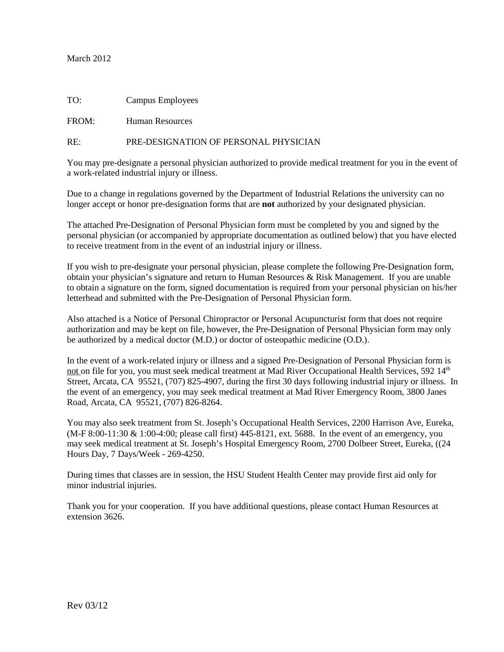## March 2012

| TO: | Campus Employees |  |
|-----|------------------|--|
|     |                  |  |

FROM: Human Resources

#### RE: PRE-DESIGNATION OF PERSONAL PHYSICIAN

You may pre-designate a personal physician authorized to provide medical treatment for you in the event of a work-related industrial injury or illness.

Due to a change in regulations governed by the Department of Industrial Relations the university can no longer accept or honor pre-designation forms that are **not** authorized by your designated physician.

The attached Pre-Designation of Personal Physician form must be completed by you and signed by the personal physician (or accompanied by appropriate documentation as outlined below) that you have elected to receive treatment from in the event of an industrial injury or illness.

If you wish to pre-designate your personal physician, please complete the following Pre-Designation form, obtain your physician's signature and return to Human Resources & Risk Management. If you are unable to obtain a signature on the form, signed documentation is required from your personal physician on his/her letterhead and submitted with the Pre-Designation of Personal Physician form.

Also attached is a Notice of Personal Chiropractor or Personal Acupuncturist form that does not require authorization and may be kept on file, however, the Pre-Designation of Personal Physician form may only be authorized by a medical doctor (M.D.) or doctor of osteopathic medicine (O.D.).

In the event of a work-related injury or illness and a signed Pre-Designation of Personal Physician form is not on file for you, you must seek medical treatment at Mad River Occupational Health Services, 592 14<sup>th</sup> Street, Arcata, CA 95521, (707) 825-4907, during the first 30 days following industrial injury or illness. In the event of an emergency, you may seek medical treatment at Mad River Emergency Room, 3800 Janes Road, Arcata, CA 95521, (707) 826-8264.

You may also seek treatment from St. Joseph's Occupational Health Services, 2200 Harrison Ave, Eureka, (M-F 8:00-11:30 & 1:00-4:00; please call first) 445-8121, ext. 5688. In the event of an emergency, you may seek medical treatment at St. Joseph's Hospital Emergency Room, 2700 Dolbeer Street, Eureka, ((24 Hours Day, 7 Days/Week - 269-4250.

During times that classes are in session, the HSU Student Health Center may provide first aid only for minor industrial injuries.

Thank you for your cooperation. If you have additional questions, please contact Human Resources at extension 3626.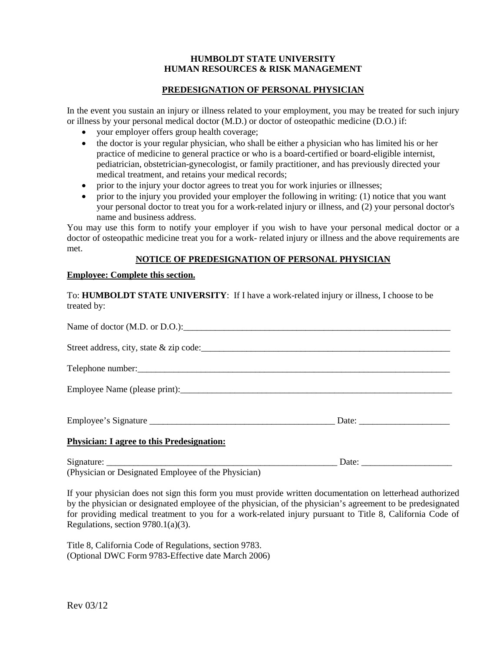### **HUMBOLDT STATE UNIVERSITY HUMAN RESOURCES & RISK MANAGEMENT**

# **PREDESIGNATION OF PERSONAL PHYSICIAN**

In the event you sustain an injury or illness related to your employment, you may be treated for such injury or illness by your personal medical doctor (M.D.) or doctor of osteopathic medicine (D.O.) if:

- your employer offers group health coverage;
- the doctor is your regular physician, who shall be either a physician who has limited his or her practice of medicine to general practice or who is a board-certified or board-eligible internist, pediatrician, obstetrician-gynecologist, or family practitioner, and has previously directed your medical treatment, and retains your medical records;
- prior to the injury your doctor agrees to treat you for work injuries or illnesses;
- prior to the injury you provided your employer the following in writing: (1) notice that you want your personal doctor to treat you for a work-related injury or illness, and (2) your personal doctor's name and business address.

You may use this form to notify your employer if you wish to have your personal medical doctor or a doctor of osteopathic medicine treat you for a work- related injury or illness and the above requirements are met.

### **NOTICE OF PREDESIGNATION OF PERSONAL PHYSICIAN**

#### **Employee: Complete this section.**

| To: HUMBOLDT STATE UNIVERSITY: If I have a work-related injury or illness, I choose to be<br>treated by: |  |
|----------------------------------------------------------------------------------------------------------|--|
|                                                                                                          |  |
| Street address, city, state & zip code:                                                                  |  |
|                                                                                                          |  |
|                                                                                                          |  |
|                                                                                                          |  |
| <b>Physician: I agree to this Predesignation:</b>                                                        |  |
|                                                                                                          |  |

(Physician or Designated Employee of the Physician)

If your physician does not sign this form you must provide written documentation on letterhead authorized by the physician or designated employee of the physician, of the physician's agreement to be predesignated for providing medical treatment to you for a work-related injury pursuant to Title 8, California Code of Regulations, section 9780.1(a)(3).

Title 8, California Code of Regulations, section 9783. (Optional DWC Form 9783-Effective date March 2006)